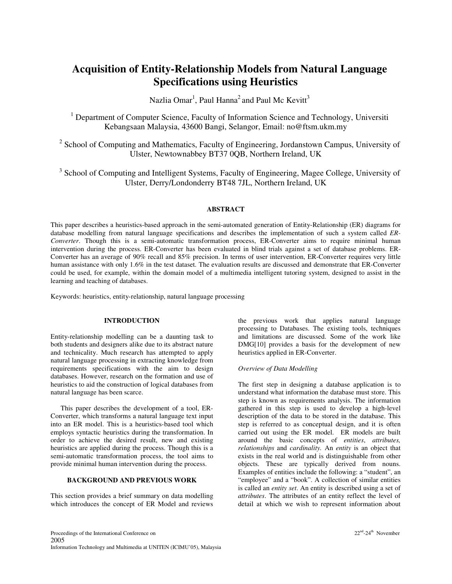# **Acquisition of Entity-Relationship Models from Natural Language Specifications using Heuristics**

Nazlia Omar $^1$ , Paul Hanna $^2$  and Paul Mc Kevitt $^3$ 

<sup>1</sup> Department of Computer Science, Faculty of Information Science and Technology, Universiti Kebangsaan Malaysia, 43600 Bangi, Selangor, Email: no@ftsm.ukm.my

<sup>2</sup> School of Computing and Mathematics, Faculty of Engineering, Jordanstown Campus, University of Ulster, Newtownabbey BT37 0QB, Northern Ireland, UK

<sup>3</sup> School of Computing and Intelligent Systems, Faculty of Engineering, Magee College, University of Ulster, Derry/Londonderry BT48 7JL, Northern Ireland, UK

## **ABSTRACT**

This paper describes a heuristics-based approach in the semi-automated generation of Entity-Relationship (ER) diagrams for database modelling from natural language specifications and describes the implementation of such a system called *ER-Converter*. Though this is a semi-automatic transformation process, ER-Converter aims to require minimal human intervention during the process. ER-Converter has been evaluated in blind trials against a set of database problems. ER-Converter has an average of 90% recall and 85% precision. In terms of user intervention, ER-Converter requires very little human assistance with only 1.6% in the test dataset. The evaluation results are discussed and demonstrate that ER-Converter could be used, for example, within the domain model of a multimedia intelligent tutoring system, designed to assist in the learning and teaching of databases.

Keywords: heuristics, entity-relationship, natural language processing

# **INTRODUCTION**

Entity-relationship modelling can be a daunting task to both students and designers alike due to its abstract nature and technicality. Much research has attempted to apply natural language processing in extracting knowledge from requirements specifications with the aim to design databases. However, research on the formation and use of heuristics to aid the construction of logical databases from natural language has been scarce.

This paper describes the development of a tool, ER-Converter, which transforms a natural language text input into an ER model. This is a heuristics-based tool which employs syntactic heuristics during the transformation. In order to achieve the desired result, new and existing heuristics are applied during the process. Though this is a semi-automatic transformation process, the tool aims to provide minimal human intervention during the process.

# **BACKGROUND AND PREVIOUS WORK**

This section provides a brief summary on data modelling which introduces the concept of ER Model and reviews

the previous work that applies natural language processing to Databases. The existing tools, techniques and limitations are discussed. Some of the work like DMG[10] provides a basis for the development of new heuristics applied in ER-Converter.

#### *Overview of Data Modelling*

The first step in designing a database application is to understand what information the database must store. This step is known as requirements analysis. The information gathered in this step is used to develop a high-level description of the data to be stored in the database. This step is referred to as conceptual design, and it is often carried out using the ER model. ER models are built around the basic concepts of *entities*, *attributes, relationships* and *cardinality.* An *entity* is an object that exists in the real world and is distinguishable from other objects. These are typically derived from nouns. Examples of entities include the following: a "student", an "employee" and a "book". A collection of similar entities is called an *entity set*. An entity is described using a set of *attributes*. The attributes of an entity reflect the level of detail at which we wish to represent information about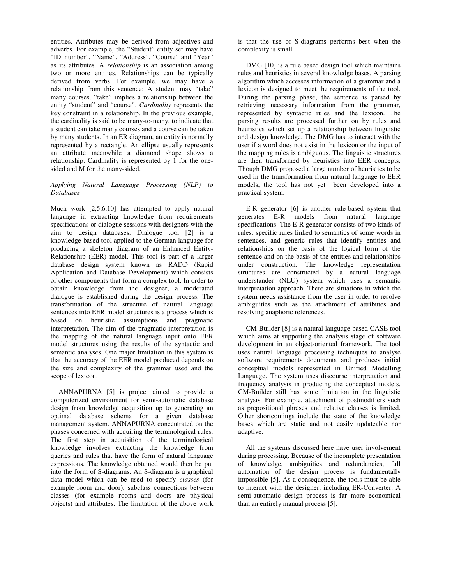entities. Attributes may be derived from adjectives and adverbs. For example, the "Student" entity set may have "ID\_number", "Name", "Address", "Course" and "Year" as its attributes. A *relationship* is an association among two or more entities. Relationships can be typically derived from verbs. For example, we may have a relationship from this sentence: A student may "take" many courses. "take" implies a relationship between the entity "student" and "course". *Cardinality* represents the key constraint in a relationship. In the previous example, the cardinality is said to be many-to-many, to indicate that a student can take many courses and a course can be taken by many students. In an ER diagram, an entity is normally represented by a rectangle. An ellipse usually represents an attribute meanwhile a diamond shape shows a relationship. Cardinality is represented by 1 for the onesided and M for the many-sided.

## *Applying Natural Language Processing (NLP) to Databases*

Much work [2,5,6,10] has attempted to apply natural language in extracting knowledge from requirements specifications or dialogue sessions with designers with the aim to design databases. Dialogue tool [2] is a knowledge-based tool applied to the German language for producing a skeleton diagram of an Enhanced Entity-Relationship (EER) model. This tool is part of a larger database design system known as RADD (Rapid Application and Database Development) which consists of other components that form a complex tool. In order to obtain knowledge from the designer, a moderated dialogue is established during the design process. The transformation of the structure of natural language sentences into EER model structures is a process which is based on heuristic assumptions and pragmatic interpretation. The aim of the pragmatic interpretation is the mapping of the natural language input onto EER model structures using the results of the syntactic and semantic analyses. One major limitation in this system is that the accuracy of the EER model produced depends on the size and complexity of the grammar used and the scope of lexicon.

ANNAPURNA [5] is project aimed to provide a computerized environment for semi-automatic database design from knowledge acquisition up to generating an optimal database schema for a given database management system. ANNAPURNA concentrated on the phases concerned with acquiring the terminological rules. The first step in acquisition of the terminological knowledge involves extracting the knowledge from queries and rules that have the form of natural language expressions. The knowledge obtained would then be put into the form of S-diagrams. An S-diagram is a graphical data model which can be used to specify *classes* (for example room and door), subclass connections between classes (for example rooms and doors are physical objects) and attributes. The limitation of the above work is that the use of S-diagrams performs best when the complexity is small.

DMG [10] is a rule based design tool which maintains rules and heuristics in several knowledge bases. A parsing algorithm which accesses information of a grammar and a lexicon is designed to meet the requirements of the tool. During the parsing phase, the sentence is parsed by retrieving necessary information from the grammar, represented by syntactic rules and the lexicon. The parsing results are processed further on by rules and heuristics which set up a relationship between linguistic and design knowledge. The DMG has to interact with the user if a word does not exist in the lexicon or the input of the mapping rules is ambiguous. The linguistic structures are then transformed by heuristics into EER concepts. Though DMG proposed a large number of heuristics to be used in the transformation from natural language to EER models, the tool has not yet been developed into a practical system.

E-R generator [6] is another rule-based system that generates E-R models from natural language specifications. The E-R generator consists of two kinds of rules: specific rules linked to semantics of some words in sentences, and generic rules that identify entities and relationships on the basis of the logical form of the sentence and on the basis of the entities and relationships under construction. The knowledge representation structures are constructed by a natural language understander (NLU) system which uses a semantic interpretation approach. There are situations in which the system needs assistance from the user in order to resolve ambiguities such as the attachment of attributes and resolving anaphoric references.

CM-Builder [8] is a natural language based CASE tool which aims at supporting the analysis stage of software development in an object-oriented framework. The tool uses natural language processing techniques to analyse software requirements documents and produces initial conceptual models represented in Unified Modelling Language. The system uses discourse interpretation and frequency analysis in producing the conceptual models. CM-Builder still has some limitation in the linguistic analysis. For example, attachment of postmodifiers such as prepositional phrases and relative clauses is limited. Other shortcomings include the state of the knowledge bases which are static and not easily updateable nor adaptive.

All the systems discussed here have user involvement during processing. Because of the incomplete presentation of knowledge, ambiguities and redundancies, full automation of the design process is fundamentally impossible [5]. As a consequence, the tools must be able to interact with the designer, including ER-Converter. A semi-automatic design process is far more economical than an entirely manual process [5].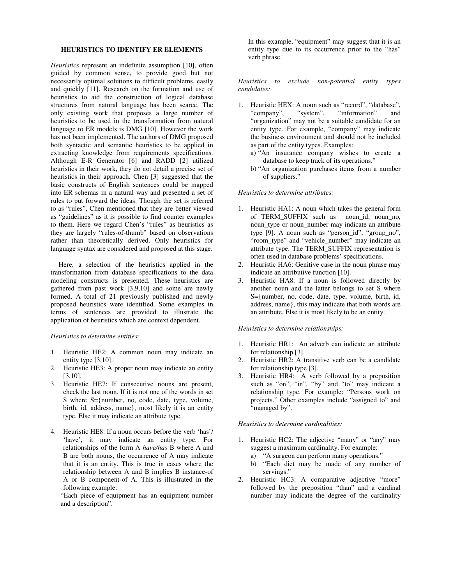## **HEURISTICS TO IDENTIFY ER ELEMENTS**

*Heuristics* represent an indefinite assumption [10], often guided by common sense, to provide good but not necessarily optimal solutions to difficult problems, easily and quickly [11]. Research on the formation and use of heuristics to aid the construction of logical database structures from natural language has been scarce. The only existing work that proposes a large number of heuristics to be used in the transformation from natural language to ER models is DMG [10]. However the work has not been implemented. The authors of DMG proposed both syntactic and semantic heuristics to be applied in extracting knowledge from requirements specifications. Although E-R Generator [6] and RADD [2] utilized heuristics in their work, they do not detail a precise set of heuristics in their approach. Chen [3] suggested that the basic constructs of English sentences could be mapped into ER schemas in a natural way and presented a set of rules to put forward the ideas. Though the set is referred to as "rules", Chen mentioned that they are better viewed as "guidelines" as it is possible to find counter examples to them. Here we regard Chen's "rules" as heuristics as they are largely "rules-of-thumb" based on observations rather than theoretically derived. Only heuristics for language syntax are considered and proposed at this stage.

Here, a selection of the heuristics applied in the transformation from database specifications to the data modeling constructs is presented. These heuristics are gathered from past work [3,9,10] and some are newly formed. A total of 21 previously published and newly proposed heuristics were identified. Some examples in terms of sentences are provided to illustrate the application of heuristics which are context dependent.

#### *Heuristics to determine entities:*

- 1. Heuristic HE2: A common noun may indicate an entity type [3,10].
- 2. Heuristic HE3: A proper noun may indicate an entity [3,10].
- 3. Heuristic HE7: If consecutive nouns are present, check the last noun. If it is not one of the words in set S where S={number, no, code, date, type, volume, birth, id, address, name}, most likely it is an entity type. Else it may indicate an attribute type.
- 4. Heuristic HE8: If a noun occurs before the verb 'has'/ 'have', it may indicate an entity type. For relationships of the form A *have/has* B where A and B are both nouns, the occurrence of A may indicate that it is an entity. This is true in cases where the relationship between A and B implies B instance-of A or B component-of A. This is illustrated in the following example:

"Each piece of equipment has an equipment number and a description".

In this example, "equipment" may suggest that it is an entity type due to its occurrence prior to the "has" verb phrase.

*Heuristics to exclude non-potential entity types candidates:*

- 1. Heuristic HEX: A noun such as "record", "database", "company", "system", "information" and "information" and "organization" may not be a suitable candidate for an entity type. For example, "company" may indicate the business environment and should not be included as part of the entity types. Examples:
	- a) "An insurance company wishes to create a database to keep track of its operations."
	- b) "An organization purchases items from a number of suppliers."

#### *Heuristics to determine attributes:*

- 1. Heuristic HA1: A noun which takes the general form of TERM\_SUFFIX such as noun\_id, noun\_no, noun\_type or noun\_number may indicate an attribute type [9]. A noun such as "person\_id", "group\_no", "room\_type" and "vehicle\_number" may indicate an attribute type. The TERM\_SUFFIX representation is often used in database problems' specifications.
- 2. Heuristic HA6: Genitive case in the noun phrase may indicate an attributive function [10].
- 3. Heuristic HA8: If a noun is followed directly by another noun and the latter belongs to set S where S={number, no, code, date, type, volume, birth, id, address, name}, this may indicate that both words are an attribute. Else it is most likely to be an entity.

#### *Heuristics to determine relationships:*

- 1. Heuristic HR1: An adverb can indicate an attribute for relationship [3].
- 2. Heuristic HR2: A transitive verb can be a candidate for relationship type [3].
- 3. Heuristic HR4: A verb followed by a preposition such as "on", "in", "by" and "to" may indicate a relationship type. For example: "Persons work on projects." Other examples include "assigned to" and "managed by".

#### *Heuristics to determine cardinalities:*

- 1. Heuristic HC2: The adjective "many" or "any" may suggest a maximum cardinality. For example:
	- a) "A surgeon can perform many operations."
	- b) "Each diet may be made of any number of servings."
- 2. Heuristic HC3: A comparative adjective "more" followed by the preposition "than" and a cardinal number may indicate the degree of the cardinality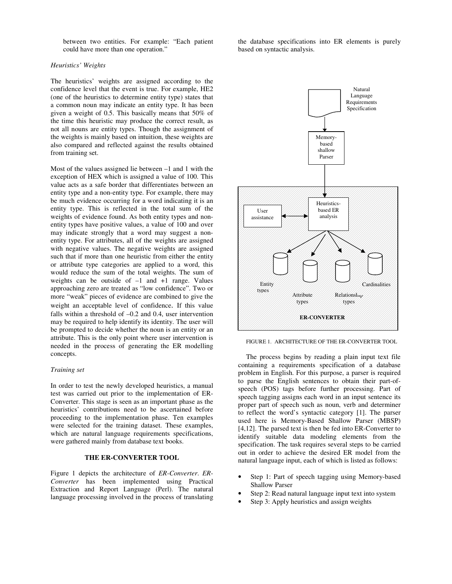between two entities. For example: "Each patient could have more than one operation."

## *Heuristics' Weights*

The heuristics' weights are assigned according to the confidence level that the event is true. For example, HE2 (one of the heuristics to determine entity type) states that a common noun may indicate an entity type. It has been given a weight of 0.5. This basically means that 50% of the time this heuristic may produce the correct result, as not all nouns are entity types. Though the assignment of the weights is mainly based on intuition, these weights are also compared and reflected against the results obtained from training set.

Most of the values assigned lie between –1 and 1 with the exception of HEX which is assigned a value of 100. This value acts as a safe border that differentiates between an entity type and a non-entity type. For example, there may be much evidence occurring for a word indicating it is an entity type. This is reflected in the total sum of the weights of evidence found. As both entity types and nonentity types have positive values, a value of 100 and over may indicate strongly that a word may suggest a nonentity type. For attributes, all of the weights are assigned with negative values. The negative weights are assigned such that if more than one heuristic from either the entity or attribute type categories are applied to a word, this would reduce the sum of the total weights. The sum of weights can be outside of –1 and +1 range. Values approaching zero are treated as "low confidence". Two or more "weak" pieces of evidence are combined to give the weight an acceptable level of confidence. If this value falls within a threshold of  $-0.2$  and 0.4, user intervention may be required to help identify its identity. The user will be prompted to decide whether the noun is an entity or an attribute. This is the only point where user intervention is needed in the process of generating the ER modelling concepts.

## *Training set*

In order to test the newly developed heuristics, a manual test was carried out prior to the implementation of ER-Converter. This stage is seen as an important phase as the heuristics' contributions need to be ascertained before proceeding to the implementation phase. Ten examples were selected for the training dataset. These examples, which are natural language requirements specifications, were gathered mainly from database text books.

## **THE ER-CONVERTER TOOL**

Figure 1 depicts the architecture of *ER-Converter*. *ER-Converter* has been implemented using Practical Extraction and Report Language (Perl). The natural language processing involved in the process of translating the database specifications into ER elements is purely based on syntactic analysis.



FIGURE 1. ARCHITECTURE OF THE ER-CONVERTER TOOL

The process begins by reading a plain input text file containing a requirements specification of a database problem in English. For this purpose, a parser is required to parse the English sentences to obtain their part-ofspeech (POS) tags before further processing. Part of speech tagging assigns each word in an input sentence its proper part of speech such as noun, verb and determiner to reflect the word's syntactic category [1]. The parser used here is Memory-Based Shallow Parser (MBSP) [4,12]. The parsed text is then be fed into ER-Converter to identify suitable data modeling elements from the specification. The task requires several steps to be carried out in order to achieve the desired ER model from the natural language input, each of which is listed as follows:

- Step 1: Part of speech tagging using Memory-based Shallow Parser
- Step 2: Read natural language input text into system
- Step 3: Apply heuristics and assign weights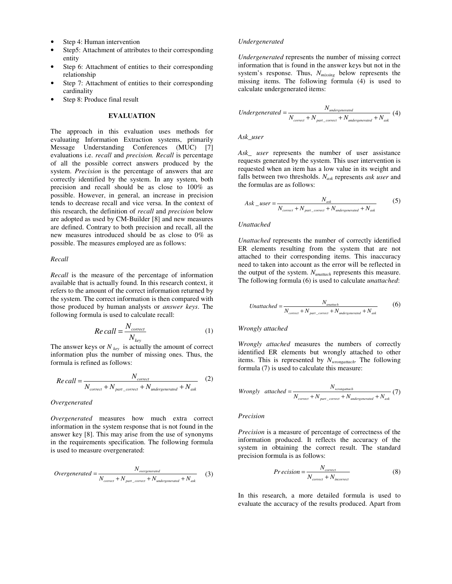- Step 4: Human intervention
- Step5: Attachment of attributes to their corresponding entity
- Step 6: Attachment of entities to their corresponding relationship
- Step 7: Attachment of entities to their corresponding cardinality
- Step 8: Produce final result

#### **EVALUATION**

The approach in this evaluation uses methods for evaluating Information Extraction systems, primarily Message Understanding Conferences (MUC) [7] evaluations i.e. *recall* and *precision. Recall* is percentage of all the possible correct answers produced by the system. *Precision* is the percentage of answers that are correctly identified by the system. In any system, both precision and recall should be as close to 100% as possible. However, in general, an increase in precision tends to decrease recall and vice versa. In the context of this research, the definition of *recall* and *precision* below are adopted as used by CM-Builder [8] and new measures are defined. Contrary to both precision and recall, all the new measures introduced should be as close to 0% as possible. The measures employed are as follows:

#### *Recall*

*Recall* is the measure of the percentage of information available that is actually found. In this research context, it refers to the amount of the correct information returned by the system. The correct information is then compared with those produced by human analysts or *answer keys*. The following formula is used to calculate recall:

$$
Re\,call = \frac{N_{correct}}{N_{key}}\tag{1}
$$

The answer keys or *N key* is actually the amount of correct information plus the number of missing ones. Thus, the formula is refined as follows:

$$
Re\,call = \frac{N_{correct}}{N_{correct} + N_{part\_correct} + N_{undergenerated} + N_{ask}}
$$
 (2)

#### *Overgenerated*

*Overgenerated* measures how much extra correct information in the system response that is not found in the answer key [8]. This may arise from the use of synonyms in the requirements specification. The following formula is used to measure overgenerated:

$$
Overgenerated = \frac{N_{overgenerated}}{N_{correct} + N_{part\_correct} + N_{undergenerated} + N_{ask}}
$$
 (3)

#### *Undergenerated*

*Undergenerated* represents the number of missing correct information that is found in the answer keys but not in the system's response. Thus, *Nmissing* below represents the missing items. The following formula (4) is used to calculate undergenerated items:

*Under generated* = 
$$
\frac{N_{undergenerated}}{N_{correct} + N_{part\_correct} + N_{undergenerated} + N_{ask}}
$$
(4)

*Ask\_user*

*Ask\_ user* represents the number of user assistance requests generated by the system. This user intervention is requested when an item has a low value in its weight and falls between two thresholds. *Nask* represents *ask user* and the formulas are as follows:

$$
Ask\_user = \frac{N_{ask}}{N_{correct} + N_{part\_correct} + N_{undergenerated} + N_{ask}}
$$
 (5)

#### *Unattached*

*Unattached* represents the number of correctly identified ER elements resulting from the system that are not attached to their corresponding items. This inaccuracy need to taken into account as the error will be reflected in the output of the system. *Nunattach* represents this measure. The following formula (6) is used to calculate *unattached*:

Unattached = 
$$
\frac{N_{\text{unattached}}}{N_{\text{correct}} + N_{\text{part\_correct}} + N_{\text{undergenerated}} + N_{\text{ask}}}
$$
(6)

#### *Wrongly attached*

*Wrongly attached* measures the numbers of correctly identified ER elements but wrongly attached to other items. This is represented by *Nwrongattach*. The following formula (7) is used to calculate this measure:

$$
Wrongly \quad attached = \frac{N_{wrongatach}}{N_{correct} + N_{part\_correct} + N_{undergenerated} + N_{ask}}(7)
$$

#### *Precision*

*Precision* is a measure of percentage of correctness of the information produced. It reflects the accuracy of the system in obtaining the correct result. The standard precision formula is as follows:

$$
Precision = \frac{N_{correct}}{N_{correct} + N_{incorrect}}
$$
 (8)

In this research, a more detailed formula is used to evaluate the accuracy of the results produced. Apart from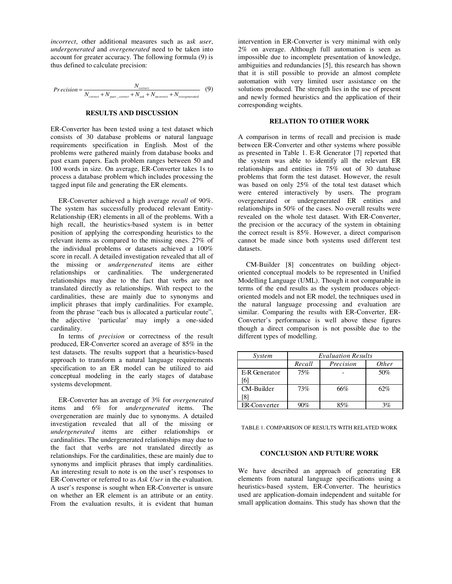*incorrect*, other additional measures such as a*sk user*, *undergenerated* and *overgenerated* need to be taken into account for greater accuracy. The following formula (9) is thus defined to calculate precision:

$$
Precision = \frac{N_{correct}}{N_{correct} + N_{part\_correct} + N_{ask} + N_{incorrect} + N_{overgenerated}}
$$
(9)

#### **RESULTS AND DISCUSSION**

ER-Converter has been tested using a test dataset which consists of 30 database problems or natural language requirements specification in English. Most of the problems were gathered mainly from database books and past exam papers. Each problem ranges between 50 and 100 words in size. On average, ER-Converter takes 1s to process a database problem which includes processing the tagged input file and generating the ER elements.

ER-Converter achieved a high average *recall* of 90%. The system has successfully produced relevant Entity-Relationship (ER) elements in all of the problems. With a high recall, the heuristics-based system is in better position of applying the corresponding heuristics to the relevant items as compared to the missing ones. 27% of the individual problems or datasets achieved a 100% score in recall. A detailed investigation revealed that all of the missing or *undergenerated* items are either relationships or cardinalities. The undergenerated relationships may due to the fact that verbs are not translated directly as relationships. With respect to the cardinalities, these are mainly due to synonyms and implicit phrases that imply cardinalities. For example, from the phrase "each bus is allocated a particular route", the adjective 'particular' may imply a one-sided cardinality.

In terms of *precision* or correctness of the result produced, ER-Converter scored an average of 85% in the test datasets. The results support that a heuristics-based approach to transform a natural language requirements specification to an ER model can be utilized to aid conceptual modeling in the early stages of database systems development.

ER-Converter has an average of 3% for *overgenerated* items and 6% for *undergenerated* items. The overgeneration are mainly due to synonyms. A detailed investigation revealed that all of the missing or *undergenerated* items are either relationships or cardinalities. The undergenerated relationships may due to the fact that verbs are not translated directly as relationships. For the cardinalities, these are mainly due to synonyms and implicit phrases that imply cardinalities. An interesting result to note is on the user's responses to ER-Converter or referred to as *Ask User* in the evaluation. A user's response is sought when ER-Converter is unsure on whether an ER element is an attribute or an entity. From the evaluation results, it is evident that human intervention in ER-Converter is very minimal with only 2% on average. Although full automation is seen as impossible due to incomplete presentation of knowledge, ambiguities and redundancies [5], this research has shown that it is still possible to provide an almost complete automation with very limited user assistance on the solutions produced. The strength lies in the use of present and newly formed heuristics and the application of their corresponding weights.

## **RELATION TO OTHER WORK**

A comparison in terms of recall and precision is made between ER-Converter and other systems where possible as presented in Table 1. E-R Generator [7] reported that the system was able to identify all the relevant ER relationships and entities in 75% out of 30 database problems that form the test dataset. However, the result was based on only 25% of the total test dataset which were entered interactively by users. The program overgenerated or undergenerated ER entities and relationships in 50% of the cases. No overall results were revealed on the whole test dataset. With ER-Converter, the precision or the accuracy of the system in obtaining the correct result is 85%. However, a direct comparison cannot be made since both systems used different test datasets.

CM-Builder [8] concentrates on building objectoriented conceptual models to be represented in Unified Modelling Language (UML). Though it not comparable in terms of the end results as the system produces objectoriented models and not ER model, the techniques used in the natural language processing and evaluation are similar. Comparing the results with ER-Converter, ER-Converter's performance is well above these figures though a direct comparison is not possible due to the different types of modelling.

| System        | <b>Evaluation Results</b> |           |              |
|---------------|---------------------------|-----------|--------------|
|               | Recall                    | Precision | <i>Other</i> |
| E-R Generator | 75%                       |           | 50%          |
| 61            |                           |           |              |
| CM-Builder    | 73%                       | 66%       | 62%          |
|               |                           |           |              |
| ER-Converter  | 90%                       | 85%       | 3%           |

TABLE 1. COMPARISON OF RESULTS WITH RELATED WORK

#### **CONCLUSION AND FUTURE WORK**

We have described an approach of generating ER elements from natural language specifications using a heuristics-based system, ER-Converter. The heuristics used are application-domain independent and suitable for small application domains. This study has shown that the